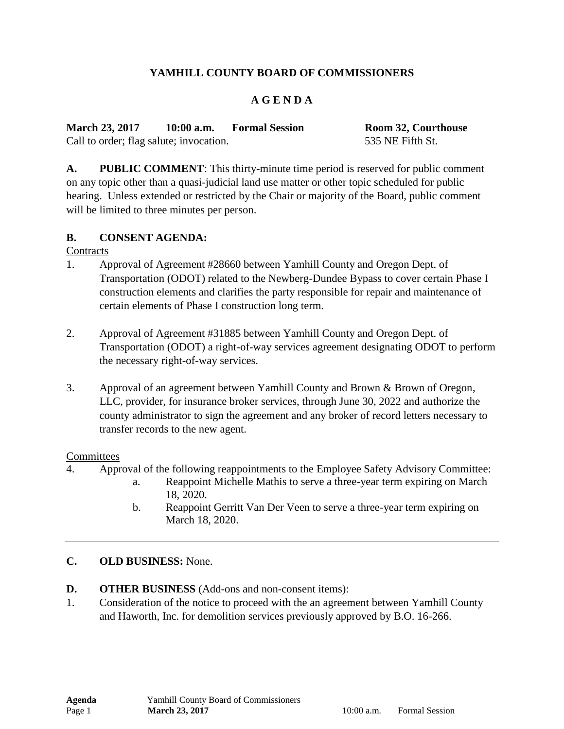# **YAMHILL COUNTY BOARD OF COMMISSIONERS**

## **A G E N D A**

**March 23, 2017 10:00 a.m. Formal Session Room 32, Courthouse** Call to order; flag salute; invocation. 535 NE Fifth St.

**A. PUBLIC COMMENT**: This thirty-minute time period is reserved for public comment on any topic other than a quasi-judicial land use matter or other topic scheduled for public hearing. Unless extended or restricted by the Chair or majority of the Board, public comment will be limited to three minutes per person.

### **B. CONSENT AGENDA:**

**Contracts** 

- 1. Approval of Agreement #28660 between Yamhill County and Oregon Dept. of Transportation (ODOT) related to the Newberg-Dundee Bypass to cover certain Phase I construction elements and clarifies the party responsible for repair and maintenance of certain elements of Phase I construction long term.
- 2. Approval of Agreement #31885 between Yamhill County and Oregon Dept. of Transportation (ODOT) a right-of-way services agreement designating ODOT to perform the necessary right-of-way services.
- 3. Approval of an agreement between Yamhill County and Brown & Brown of Oregon, LLC, provider, for insurance broker services, through June 30, 2022 and authorize the county administrator to sign the agreement and any broker of record letters necessary to transfer records to the new agent.

#### **Committees**

- 4. Approval of the following reappointments to the Employee Safety Advisory Committee:
	- a. Reappoint Michelle Mathis to serve a three-year term expiring on March 18, 2020.
	- b. Reappoint Gerritt Van Der Veen to serve a three-year term expiring on March 18, 2020.

### **C. OLD BUSINESS:** None.

- **D. OTHER BUSINESS** (Add-ons and non-consent items):
- 1. Consideration of the notice to proceed with the an agreement between Yamhill County and Haworth, Inc. for demolition services previously approved by B.O. 16-266.